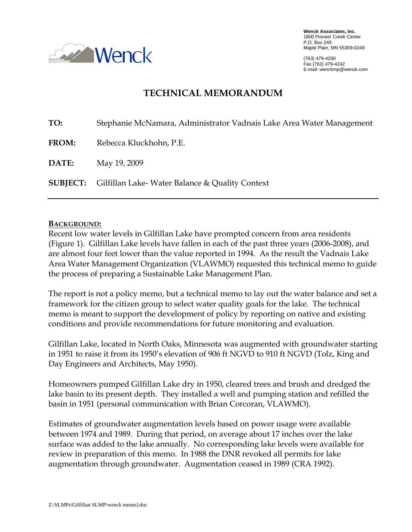

**Wenck Associates, Inc.**  1800 Pioneer Creek Center P.O. Box 249 Maple Plain, MN 55359-0249

(763) 479-4200 Fax (763) 479-4242 E-mail: wenckmp@wenck.com

# **TECHNICAL MEMORANDUM**

| TO:          | Stephanie McNamara, Administrator Vadnais Lake Area Water Management |
|--------------|----------------------------------------------------------------------|
| <b>FROM:</b> | Rebecca Kluckhohn, P.E.                                              |
| DATE:        | May 19, 2009                                                         |
|              | <b>SUBJECT:</b> Gilfillan Lake-Water Balance & Quality Context       |

### **BACKGROUND:**

Recent low water levels in Gilfillan Lake have prompted concern from area residents (Figure 1). Gilfillan Lake levels have fallen in each of the past three years (2006-2008), and are almost four feet lower than the value reported in 1994. As the result the Vadnais Lake Area Water Management Organization (VLAWMO) requested this technical memo to guide the process of preparing a Sustainable Lake Management Plan.

The report is not a policy memo, but a technical memo to lay out the water balance and set a framework for the citizen group to select water quality goals for the lake. The technical memo is meant to support the development of policy by reporting on native and existing conditions and provide recommendations for future monitoring and evaluation.

Gilfillan Lake, located in North Oaks, Minnesota was augmented with groundwater starting in 1951 to raise it from its 1950's elevation of 906 ft NGVD to 910 ft NGVD (Tolz, King and Day Engineers and Architects, May 1950).

Homeowners pumped Gilfillan Lake dry in 1950, cleared trees and brush and dredged the lake basin to its present depth. They installed a well and pumping station and refilled the basin in 1951 (personal communication with Brian Corcoran, VLAWMO).

Estimates of groundwater augmentation levels based on power usage were available between 1974 and 1989. During that period, on average about 17 inches over the lake surface was added to the lake annually. No corresponding lake levels were available for review in preparation of this memo. In 1988 the DNR revoked all permits for lake augmentation through groundwater. Augmentation ceased in 1989 (CRA 1992).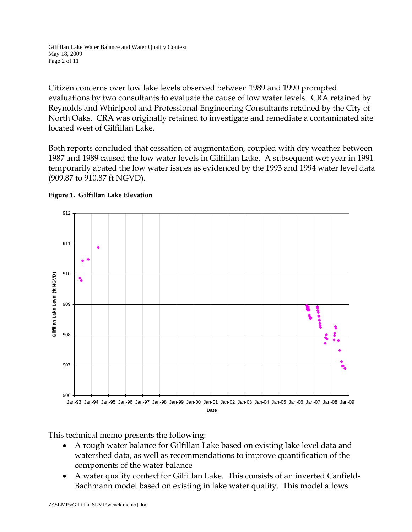Citizen concerns over low lake levels observed between 1989 and 1990 prompted evaluations by two consultants to evaluate the cause of low water levels. CRA retained by Reynolds and Whirlpool and Professional Engineering Consultants retained by the City of North Oaks. CRA was originally retained to investigate and remediate a contaminated site located west of Gilfillan Lake.

Both reports concluded that cessation of augmentation, coupled with dry weather between 1987 and 1989 caused the low water levels in Gilfillan Lake. A subsequent wet year in 1991 temporarily abated the low water issues as evidenced by the 1993 and 1994 water level data (909.87 to 910.87 ft NGVD).





This technical memo presents the following:

- A rough water balance for Gilfillan Lake based on existing lake level data and watershed data, as well as recommendations to improve quantification of the components of the water balance
- A water quality context for Gilfillan Lake. This consists of an inverted Canfield-Bachmann model based on existing in lake water quality. This model allows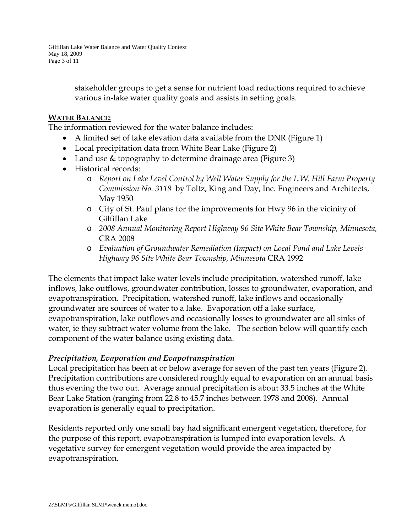Gilfillan Lake Water Balance and Water Quality Context May 18, 2009 Page 3 of 11

> stakeholder groups to get a sense for nutrient load reductions required to achieve various in-lake water quality goals and assists in setting goals.

### **WATER BALANCE:**

The information reviewed for the water balance includes:

- A limited set of lake elevation data available from the DNR (Figure 1)
- Local precipitation data from White Bear Lake (Figure 2)
- Land use & topography to determine drainage area (Figure 3)
- Historical records:
	- o *Report on Lake Level Control by Well Water Supply for the L.W. Hill Farm Property Commission No. 3118* by Toltz, King and Day, Inc. Engineers and Architects, May 1950
	- o City of St. Paul plans for the improvements for Hwy 96 in the vicinity of Gilfillan Lake
	- o *2008 Annual Monitoring Report Highway 96 Site White Bear Township, Minnesota,* CRA 2008
	- o *Evaluation of Groundwater Remediation (Impact) on Local Pond and Lake Levels Highway 96 Site White Bear Township, Minnesota* CRA 1992

The elements that impact lake water levels include precipitation, watershed runoff, lake inflows, lake outflows, groundwater contribution, losses to groundwater, evaporation, and evapotranspiration. Precipitation, watershed runoff, lake inflows and occasionally groundwater are sources of water to a lake. Evaporation off a lake surface, evapotranspiration, lake outflows and occasionally losses to groundwater are all sinks of water, ie they subtract water volume from the lake. The section below will quantify each component of the water balance using existing data.

# *Precipitation, Evaporation and Evapotranspiration*

Local precipitation has been at or below average for seven of the past ten years (Figure 2). Precipitation contributions are considered roughly equal to evaporation on an annual basis thus evening the two out. Average annual precipitation is about 33.5 inches at the White Bear Lake Station (ranging from 22.8 to 45.7 inches between 1978 and 2008). Annual evaporation is generally equal to precipitation.

Residents reported only one small bay had significant emergent vegetation, therefore, for the purpose of this report, evapotranspiration is lumped into evaporation levels. A vegetative survey for emergent vegetation would provide the area impacted by evapotranspiration.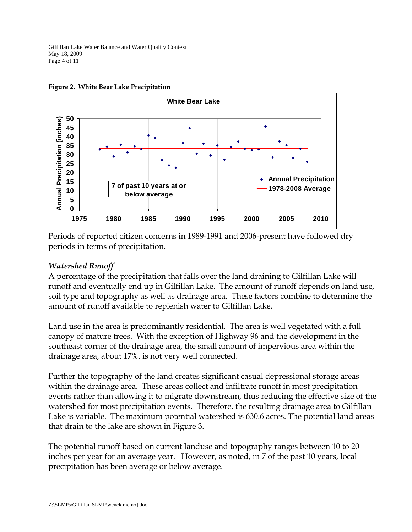Gilfillan Lake Water Balance and Water Quality Context May 18, 2009 Page 4 of 11





Periods of reported citizen concerns in 1989-1991 and 2006-present have followed dry periods in terms of precipitation.

# *Watershed Runoff*

A percentage of the precipitation that falls over the land draining to Gilfillan Lake will runoff and eventually end up in Gilfillan Lake. The amount of runoff depends on land use, soil type and topography as well as drainage area. These factors combine to determine the amount of runoff available to replenish water to Gilfillan Lake.

Land use in the area is predominantly residential. The area is well vegetated with a full canopy of mature trees. With the exception of Highway 96 and the development in the southeast corner of the drainage area, the small amount of impervious area within the drainage area, about 17%, is not very well connected.

Further the topography of the land creates significant casual depressional storage areas within the drainage area. These areas collect and infiltrate runoff in most precipitation events rather than allowing it to migrate downstream, thus reducing the effective size of the watershed for most precipitation events. Therefore, the resulting drainage area to Gilfillan Lake is variable. The maximum potential watershed is 630.6 acres. The potential land areas that drain to the lake are shown in Figure 3.

The potential runoff based on current landuse and topography ranges between 10 to 20 inches per year for an average year. However, as noted, in 7 of the past 10 years, local precipitation has been average or below average.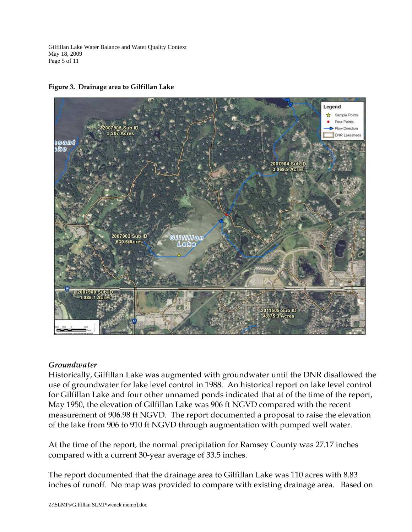Gilfillan Lake Water Balance and Water Quality Context May 18, 2009 Page 5 of 11

#### **Figure 3. Drainage area to Gilfillan Lake**



# *Groundwater*

Historically, Gilfillan Lake was augmented with groundwater until the DNR disallowed the use of groundwater for lake level control in 1988. An historical report on lake level control for Gilfillan Lake and four other unnamed ponds indicated that at of the time of the report, May 1950, the elevation of Gilfillan Lake was 906 ft NGVD compared with the recent measurement of 906.98 ft NGVD. The report documented a proposal to raise the elevation of the lake from 906 to 910 ft NGVD through augmentation with pumped well water.

At the time of the report, the normal precipitation for Ramsey County was 27.17 inches compared with a current 30-year average of 33.5 inches.

The report documented that the drainage area to Gilfillan Lake was 110 acres with 8.83 inches of runoff. No map was provided to compare with existing drainage area. Based on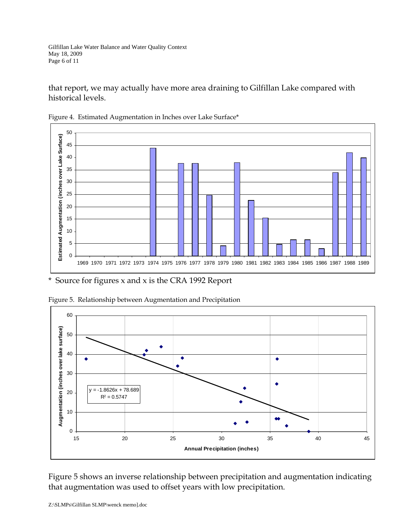that report, we may actually have more area draining to Gilfillan Lake compared with historical levels.





\* Source for figures x and x is the CRA 1992 Report



Figure 5. Relationship between Augmentation and Precipitation

Figure 5 shows an inverse relationship between precipitation and augmentation indicating that augmentation was used to offset years with low precipitation.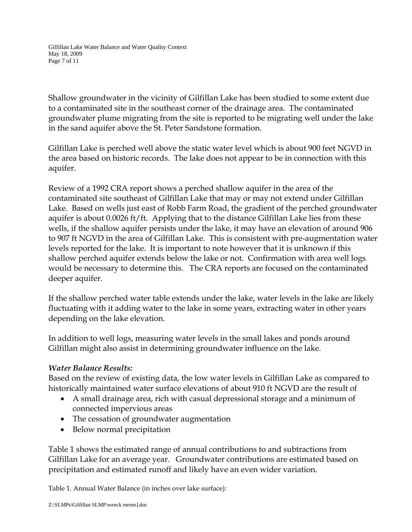Gilfillan Lake Water Balance and Water Quality Context May 18, 2009 Page 7 of 11

Shallow groundwater in the vicinity of Gilfillan Lake has been studied to some extent due to a contaminated site in the southeast corner of the drainage area. The contaminated groundwater plume migrating from the site is reported to be migrating well under the lake in the sand aquifer above the St. Peter Sandstone formation.

Gilfillan Lake is perched well above the static water level which is about 900 feet NGVD in the area based on historic records. The lake does not appear to be in connection with this aquifer.

Review of a 1992 CRA report shows a perched shallow aquifer in the area of the contaminated site southeast of Gilfillan Lake that may or may not extend under Gilfillan Lake. Based on wells just east of Robb Farm Road, the gradient of the perched groundwater aquifer is about 0.0026 ft/ft. Applying that to the distance Gilfillan Lake lies from these wells, if the shallow aquifer persists under the lake, it may have an elevation of around 906 to 907 ft NGVD in the area of Gilfillan Lake. This is consistent with pre-augmentation water levels reported for the lake. It is important to note however that it is unknown if this shallow perched aquifer extends below the lake or not. Confirmation with area well logs would be necessary to determine this. The CRA reports are focused on the contaminated deeper aquifer.

If the shallow perched water table extends under the lake, water levels in the lake are likely fluctuating with it adding water to the lake in some years, extracting water in other years depending on the lake elevation.

In addition to well logs, measuring water levels in the small lakes and ponds around Gilfillan might also assist in determining groundwater influence on the lake.

# *Water Balance Results:*

Based on the review of existing data, the low water levels in Gilfillan Lake as compared to historically maintained water surface elevations of about 910 ft NGVD are the result of

- A small drainage area, rich with casual depressional storage and a minimum of connected impervious areas
- The cessation of groundwater augmentation
- Below normal precipitation

Table 1 shows the estimated range of annual contributions to and subtractions from Gilfillan Lake for an average year. Groundwater contributions are estimated based on precipitation and estimated runoff and likely have an even wider variation.

Table 1. Annual Water Balance (in inches over lake surface):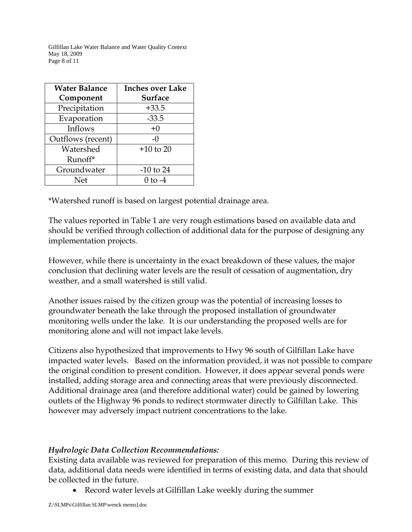Gilfillan Lake Water Balance and Water Quality Context May 18, 2009 Page 8 of 11

| <b>Water Balance</b><br>Component | <b>Inches over Lake</b><br><b>Surface</b> |
|-----------------------------------|-------------------------------------------|
| Precipitation                     | $+33.5$                                   |
| Evaporation                       | $-33.5$                                   |
| Inflows                           | $+0$                                      |
| Outflows (recent)                 | $-()$                                     |
| Watershed                         | $+10$ to 20                               |
| Runoff*                           |                                           |
| Groundwater                       | $-10$ to 24                               |
| Net                               | () tი -4                                  |

\*Watershed runoff is based on largest potential drainage area.

The values reported in Table 1 are very rough estimations based on available data and should be verified through collection of additional data for the purpose of designing any implementation projects.

However, while there is uncertainty in the exact breakdown of these values, the major conclusion that declining water levels are the result of cessation of augmentation, dry weather, and a small watershed is still valid.

Another issues raised by the citizen group was the potential of increasing losses to groundwater beneath the lake through the proposed installation of groundwater monitoring wells under the lake. It is our understanding the proposed wells are for monitoring alone and will not impact lake levels.

Citizens also hypothesized that improvements to Hwy 96 south of Gilfillan Lake have impacted water levels. Based on the information provided, it was not possible to compare the original condition to present condition. However, it does appear several ponds were installed, adding storage area and connecting areas that were previously disconnected. Additional drainage area (and therefore additional water) could be gained by lowering outlets of the Highway 96 ponds to redirect stormwater directly to Gilfillan Lake. This however may adversely impact nutrient concentrations to the lake.

# *Hydrologic Data Collection Recommendations:*

Existing data available was reviewed for preparation of this memo. During this review of data, additional data needs were identified in terms of existing data, and data that should be collected in the future.

• Record water levels at Gilfillan Lake weekly during the summer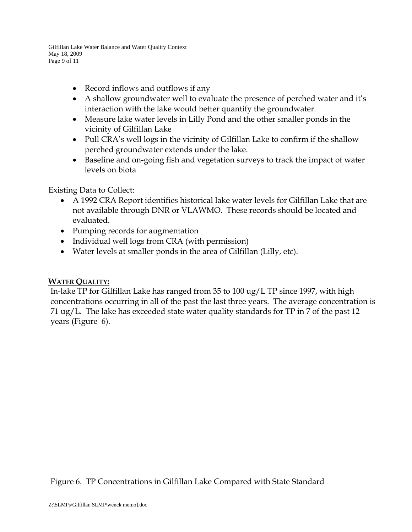Gilfillan Lake Water Balance and Water Quality Context May 18, 2009 Page 9 of 11

- Record inflows and outflows if any
- A shallow groundwater well to evaluate the presence of perched water and it's interaction with the lake would better quantify the groundwater.
- Measure lake water levels in Lilly Pond and the other smaller ponds in the vicinity of Gilfillan Lake
- Pull CRA's well logs in the vicinity of Gilfillan Lake to confirm if the shallow perched groundwater extends under the lake.
- Baseline and on-going fish and vegetation surveys to track the impact of water levels on biota

Existing Data to Collect:

- A 1992 CRA Report identifies historical lake water levels for Gilfillan Lake that are not available through DNR or VLAWMO. These records should be located and evaluated.
- Pumping records for augmentation
- Individual well logs from CRA (with permission)
- Water levels at smaller ponds in the area of Gilfillan (Lilly, etc).

# **WATER QUALITY:**

In-lake TP for Gilfillan Lake has ranged from 35 to 100 ug/L TP since 1997, with high concentrations occurring in all of the past the last three years. The average concentration is 71 ug/L. The lake has exceeded state water quality standards for TP in 7 of the past 12 years (Figure 6).

Figure 6. TP Concentrations in Gilfillan Lake Compared with State Standard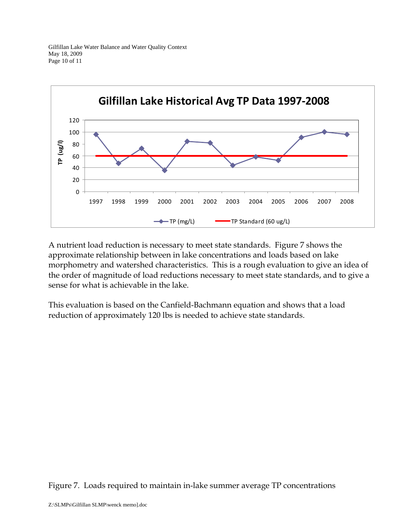

A nutrient load reduction is necessary to meet state standards. Figure 7 shows the approximate relationship between in lake concentrations and loads based on lake morphometry and watershed characteristics. This is a rough evaluation to give an idea of the order of magnitude of load reductions necessary to meet state standards, and to give a sense for what is achievable in the lake.

This evaluation is based on the Canfield-Bachmann equation and shows that a load reduction of approximately 120 lbs is needed to achieve state standards.

Figure 7. Loads required to maintain in-lake summer average TP concentrations